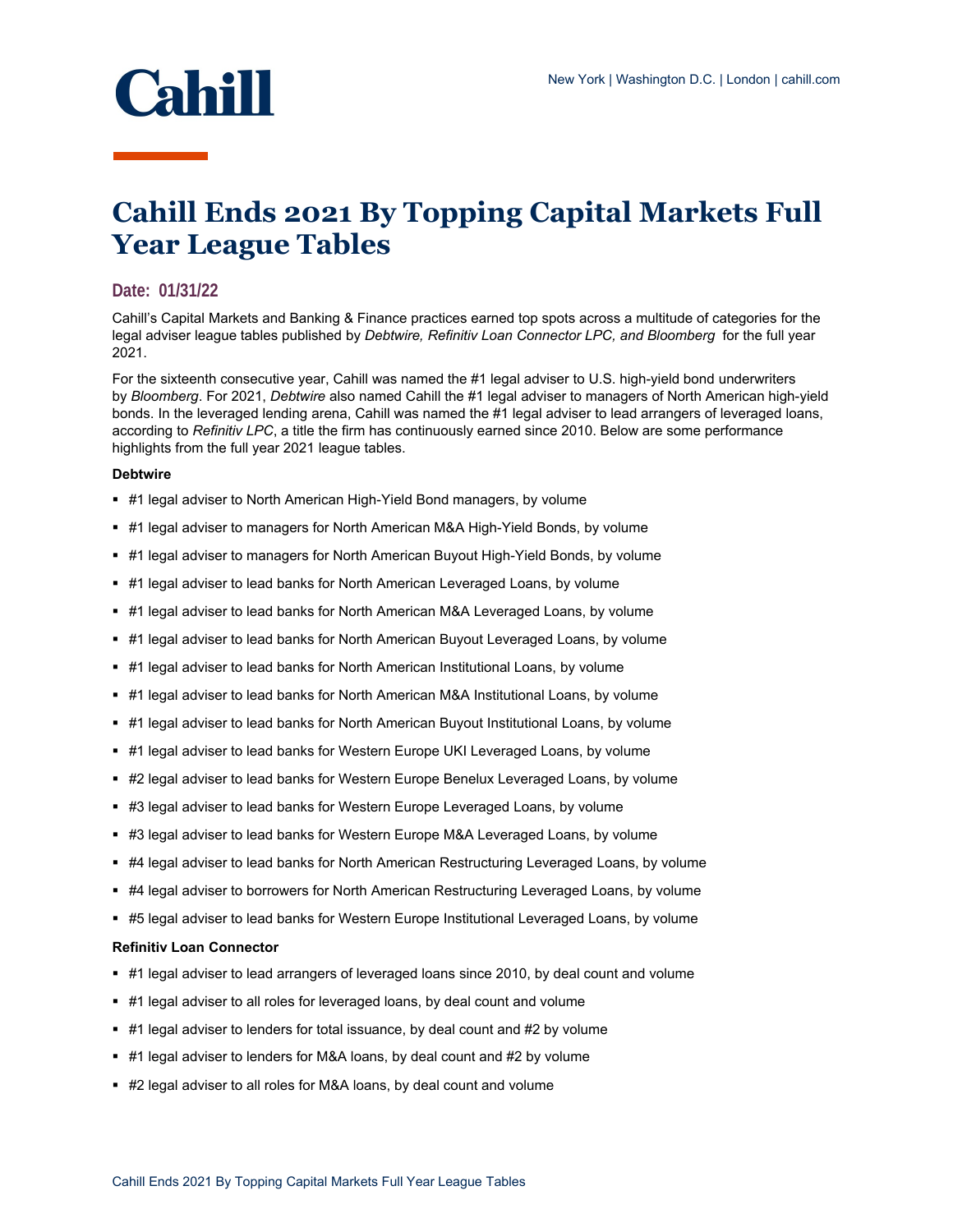

# **Cahill Ends 2021 By Topping Capital Markets Full Year League Tables**

## **Date: 01/31/22**

Cahill's Capital Markets and Banking & Finance practices earned top spots across a multitude of categories for the legal adviser league tables published by *Debtwire, Refinitiv Loan Connector LPC, and Bloomberg* for the full year 2021.

For the sixteenth consecutive year, Cahill was named the #1 legal adviser to U.S. high-yield bond underwriters by *Bloomberg*. For 2021, *Debtwire* also named Cahill the #1 legal adviser to managers of North American high-yield bonds. In the leveraged lending arena, Cahill was named the #1 legal adviser to lead arrangers of leveraged loans, according to *Refinitiv LPC*, a title the firm has continuously earned since 2010. Below are some performance highlights from the full year 2021 league tables.

#### **Debtwire**

- #1 legal adviser to North American High-Yield Bond managers, by volume
- #1 legal adviser to managers for North American M&A High-Yield Bonds, by volume
- #1 legal adviser to managers for North American Buyout High-Yield Bonds, by volume
- #1 legal adviser to lead banks for North American Leveraged Loans, by volume
- #1 legal adviser to lead banks for North American M&A Leveraged Loans, by volume
- #1 legal adviser to lead banks for North American Buyout Leveraged Loans, by volume
- **#1** legal adviser to lead banks for North American Institutional Loans, by volume
- #1 legal adviser to lead banks for North American M&A Institutional Loans, by volume
- #1 legal adviser to lead banks for North American Buyout Institutional Loans, by volume
- **#1 legal adviser to lead banks for Western Europe UKI Leveraged Loans, by volume**
- #2 legal adviser to lead banks for Western Europe Benelux Leveraged Loans, by volume
- #3 legal adviser to lead banks for Western Europe Leveraged Loans, by volume
- #3 legal adviser to lead banks for Western Europe M&A Leveraged Loans, by volume
- #4 legal adviser to lead banks for North American Restructuring Leveraged Loans, by volume
- #4 legal adviser to borrowers for North American Restructuring Leveraged Loans, by volume
- #5 legal adviser to lead banks for Western Europe Institutional Leveraged Loans, by volume

#### **Refinitiv Loan Connector**

- #1 legal adviser to lead arrangers of leveraged loans since 2010, by deal count and volume
- **#1** legal adviser to all roles for leveraged loans, by deal count and volume
- $*$  #1 legal adviser to lenders for total issuance, by deal count and  $#2$  by volume
- #1 legal adviser to lenders for M&A loans, by deal count and #2 by volume
- #2 legal adviser to all roles for M&A loans, by deal count and volume